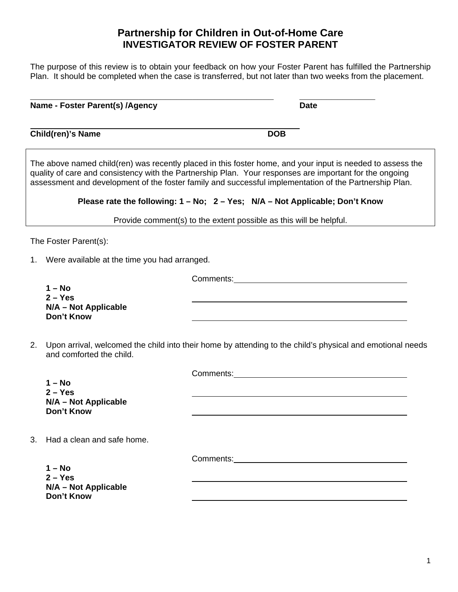## **Partnership for Children in Out-of-Home Care INVESTIGATOR REVIEW OF FOSTER PARENT**

The purpose of this review is to obtain your feedback on how your Foster Parent has fulfilled the Partnership Plan. It should be completed when the case is transferred, but not later than two weeks from the placement.

| Name - Foster Parent(s) /Agency<br><b>Date</b>     |                                                                                                                                                                                                                                                                                                                                 |                                                                                                                                                                                                                               |  |
|----------------------------------------------------|---------------------------------------------------------------------------------------------------------------------------------------------------------------------------------------------------------------------------------------------------------------------------------------------------------------------------------|-------------------------------------------------------------------------------------------------------------------------------------------------------------------------------------------------------------------------------|--|
|                                                    | <b>Child(ren)'s Name</b>                                                                                                                                                                                                                                                                                                        | <b>DOB</b>                                                                                                                                                                                                                    |  |
|                                                    | The above named child(ren) was recently placed in this foster home, and your input is needed to assess the<br>quality of care and consistency with the Partnership Plan. Your responses are important for the ongoing<br>assessment and development of the foster family and successful implementation of the Partnership Plan. |                                                                                                                                                                                                                               |  |
|                                                    | Please rate the following: 1 – No; 2 – Yes; N/A – Not Applicable; Don't Know                                                                                                                                                                                                                                                    |                                                                                                                                                                                                                               |  |
|                                                    |                                                                                                                                                                                                                                                                                                                                 | Provide comment(s) to the extent possible as this will be helpful.                                                                                                                                                            |  |
|                                                    | The Foster Parent(s):                                                                                                                                                                                                                                                                                                           |                                                                                                                                                                                                                               |  |
| Were available at the time you had arranged.<br>1. |                                                                                                                                                                                                                                                                                                                                 |                                                                                                                                                                                                                               |  |
|                                                    | $1 - No$<br>$2 - Yes$<br>N/A - Not Applicable<br><b>Don't Know</b>                                                                                                                                                                                                                                                              | Comments: Comments:                                                                                                                                                                                                           |  |
| 2.                                                 | Upon arrival, welcomed the child into their home by attending to the child's physical and emotional needs<br>and comforted the child.                                                                                                                                                                                           |                                                                                                                                                                                                                               |  |
|                                                    | $1 - No$<br>$2 - Yes$<br>N/A - Not Applicable<br><b>Don't Know</b>                                                                                                                                                                                                                                                              | Comments: We are a series of the series of the series of the series of the series of the series of the series of the series of the series of the series of the series of the series of the series of the series of the series |  |
| 3.                                                 | Had a clean and safe home.                                                                                                                                                                                                                                                                                                      |                                                                                                                                                                                                                               |  |
|                                                    | $1 - No$<br>$2 - Yes$<br>N/A - Not Applicable<br><b>Don't Know</b>                                                                                                                                                                                                                                                              | <b>Comments: Comments: Comments: Comments:</b>                                                                                                                                                                                |  |